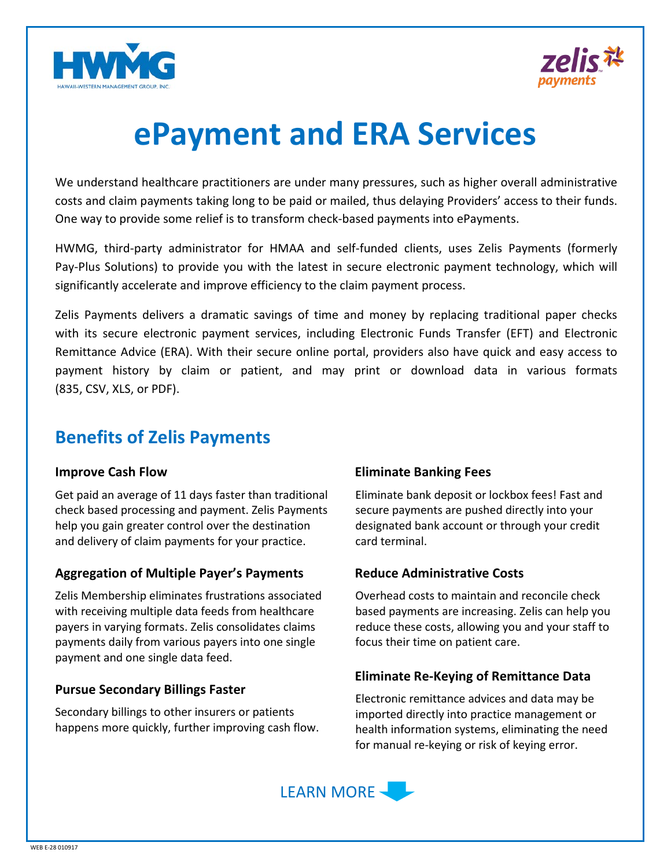



# **ePayment and ERA Services**

We understand healthcare practitioners are under many pressures, such as higher overall administrative costs and claim payments taking long to be paid or mailed, thus delaying Providers' access to their funds. One way to provide some relief is to transform check-based payments into ePayments.

HWMG, third-party administrator for HMAA and self-funded clients, uses Zelis Payments (formerly Pay-Plus Solutions) to provide you with the latest in secure electronic payment technology, which will significantly accelerate and improve efficiency to the claim payment process.

Zelis Payments delivers a dramatic savings of time and money by replacing traditional paper checks with its secure electronic payment services, including Electronic Funds Transfer (EFT) and Electronic Remittance Advice (ERA). With their secure online portal, providers also have quick and easy access to payment history by claim or patient, and may print or download data in various formats (835, CSV, XLS, or PDF).

# **Benefits of Zelis Payments**

### **Improve Cash Flow**

Get paid an average of 11 days faster than traditional check based processing and payment. Zelis Payments help you gain greater control over the destination and delivery of claim payments for your practice.

## **Aggregation of Multiple Payer's Payments**

Zelis Membership eliminates frustrations associated with receiving multiple data feeds from healthcare payers in varying formats. Zelis consolidates claims payments daily from various payers into one single payment and one single data feed.

## **Pursue Secondary Billings Faster**

Secondary billings to other insurers or patients happens more quickly, further improving cash flow.

## **Eliminate Banking Fees**

Eliminate bank deposit or lockbox fees! Fast and secure payments are pushed directly into your designated bank account or through your credit card terminal.

## **Reduce Administrative Costs**

Overhead costs to maintain and reconcile check based payments are increasing. Zelis can help you reduce these costs, allowing you and your staff to focus their time on patient care.

## **Eliminate Re-Keying of Remittance Data**

Electronic remittance advices and data may be imported directly into practice management or health information systems, eliminating the need for manual re-keying or risk of keying error.